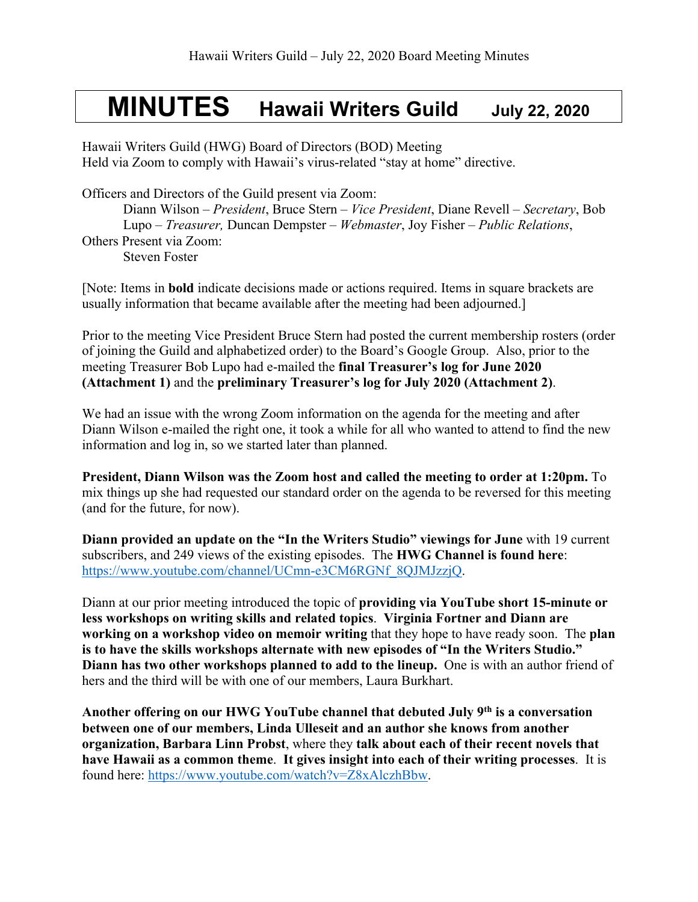# **MINUTES Hawaii Writers Guild July 22, <sup>2020</sup>**

Hawaii Writers Guild (HWG) Board of Directors (BOD) Meeting Held via Zoom to comply with Hawaii's virus-related "stay at home" directive.

Officers and Directors of the Guild present via Zoom:

Diann Wilson – *President*, Bruce Stern – *Vice President*, Diane Revell – *Secretary*, Bob Lupo – *Treasurer,* Duncan Dempster – *Webmaster*, Joy Fisher – *Public Relations*, Others Present via Zoom: Steven Foster

[Note: Items in **bold** indicate decisions made or actions required. Items in square brackets are usually information that became available after the meeting had been adjourned.]

Prior to the meeting Vice President Bruce Stern had posted the current membership rosters (order of joining the Guild and alphabetized order) to the Board's Google Group. Also, prior to the meeting Treasurer Bob Lupo had e-mailed the **final Treasurer's log for June 2020 (Attachment 1)** and the **preliminary Treasurer's log for July 2020 (Attachment 2)**.

We had an issue with the wrong Zoom information on the agenda for the meeting and after Diann Wilson e-mailed the right one, it took a while for all who wanted to attend to find the new information and log in, so we started later than planned.

**President, Diann Wilson was the Zoom host and called the meeting to order at 1:20pm.** To mix things up she had requested our standard order on the agenda to be reversed for this meeting (and for the future, for now).

**Diann provided an update on the "In the Writers Studio" viewings for June** with 19 current subscribers, and 249 views of the existing episodes. The **HWG Channel is found here**: https://www.youtube.com/channel/UCmn-e3CM6RGNf\_8QJMJzzjQ.

Diann at our prior meeting introduced the topic of **providing via YouTube short 15-minute or less workshops on writing skills and related topics**. **Virginia Fortner and Diann are working on a workshop video on memoir writing** that they hope to have ready soon. The **plan is to have the skills workshops alternate with new episodes of "In the Writers Studio." Diann has two other workshops planned to add to the lineup.** One is with an author friend of hers and the third will be with one of our members, Laura Burkhart.

**Another offering on our HWG YouTube channel that debuted July 9th is a conversation between one of our members, Linda Ulleseit and an author she knows from another organization, Barbara Linn Probst**, where they **talk about each of their recent novels that have Hawaii as a common theme**. **It gives insight into each of their writing processes**. It is found here: https://www.youtube.com/watch?v=Z8xAlczhBbw.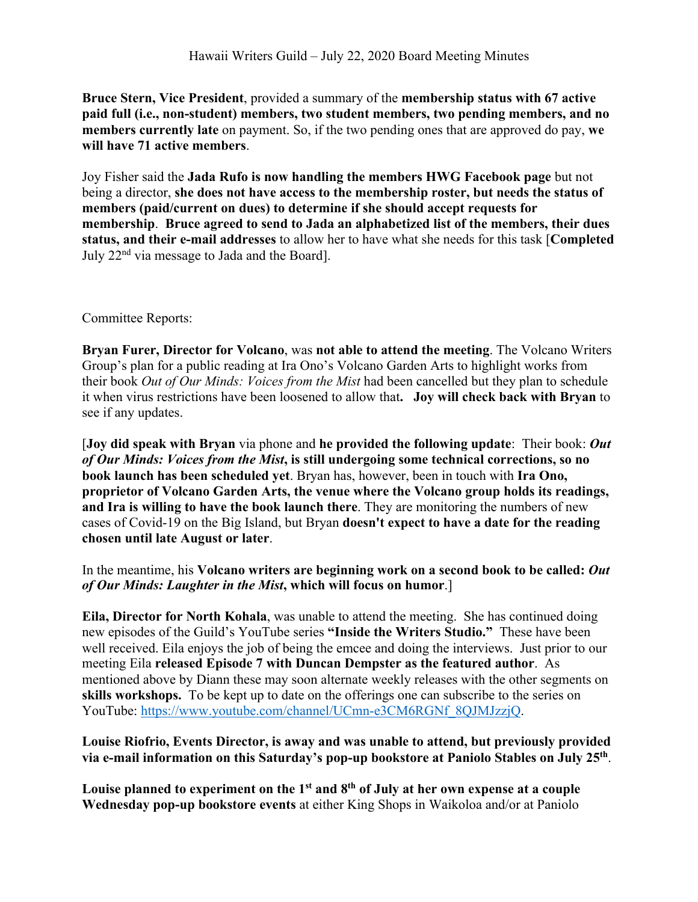**Bruce Stern, Vice President**, provided a summary of the **membership status with 67 active paid full (i.e., non-student) members, two student members, two pending members, and no members currently late** on payment. So, if the two pending ones that are approved do pay, **we will have 71 active members**.

Joy Fisher said the **Jada Rufo is now handling the members HWG Facebook page** but not being a director, **she does not have access to the membership roster, but needs the status of members (paid/current on dues) to determine if she should accept requests for membership**. **Bruce agreed to send to Jada an alphabetized list of the members, their dues status, and their e-mail addresses** to allow her to have what she needs for this task [**Completed** July 22nd via message to Jada and the Board].

#### Committee Reports:

**Bryan Furer, Director for Volcano**, was **not able to attend the meeting**. The Volcano Writers Group's plan for a public reading at Ira Ono's Volcano Garden Arts to highlight works from their book *Out of Our Minds: Voices from the Mist* had been cancelled but they plan to schedule it when virus restrictions have been loosened to allow that**. Joy will check back with Bryan** to see if any updates.

[**Joy did speak with Bryan** via phone and **he provided the following update**: Their book: *Out of Our Minds: Voices from the Mist***, is still undergoing some technical corrections, so no book launch has been scheduled yet**. Bryan has, however, been in touch with **Ira Ono, proprietor of Volcano Garden Arts, the venue where the Volcano group holds its readings, and Ira is willing to have the book launch there**. They are monitoring the numbers of new cases of Covid-19 on the Big Island, but Bryan **doesn't expect to have a date for the reading chosen until late August or later**.

## In the meantime, his **Volcano writers are beginning work on a second book to be called:** *Out of Our Minds: Laughter in the Mist***, which will focus on humor**.]

**Eila, Director for North Kohala**, was unable to attend the meeting. She has continued doing new episodes of the Guild's YouTube series **"Inside the Writers Studio."** These have been well received. Eila enjoys the job of being the emcee and doing the interviews. Just prior to our meeting Eila **released Episode 7 with Duncan Dempster as the featured author**. As mentioned above by Diann these may soon alternate weekly releases with the other segments on **skills workshops.** To be kept up to date on the offerings one can subscribe to the series on YouTube: https://www.youtube.com/channel/UCmn-e3CM6RGNf\_8QJMJzzjQ.

#### **Louise Riofrio, Events Director, is away and was unable to attend, but previously provided via e-mail information on this Saturday's pop-up bookstore at Paniolo Stables on July 25th**.

**Louise planned to experiment on the 1st and 8th of July at her own expense at a couple Wednesday pop-up bookstore events** at either King Shops in Waikoloa and/or at Paniolo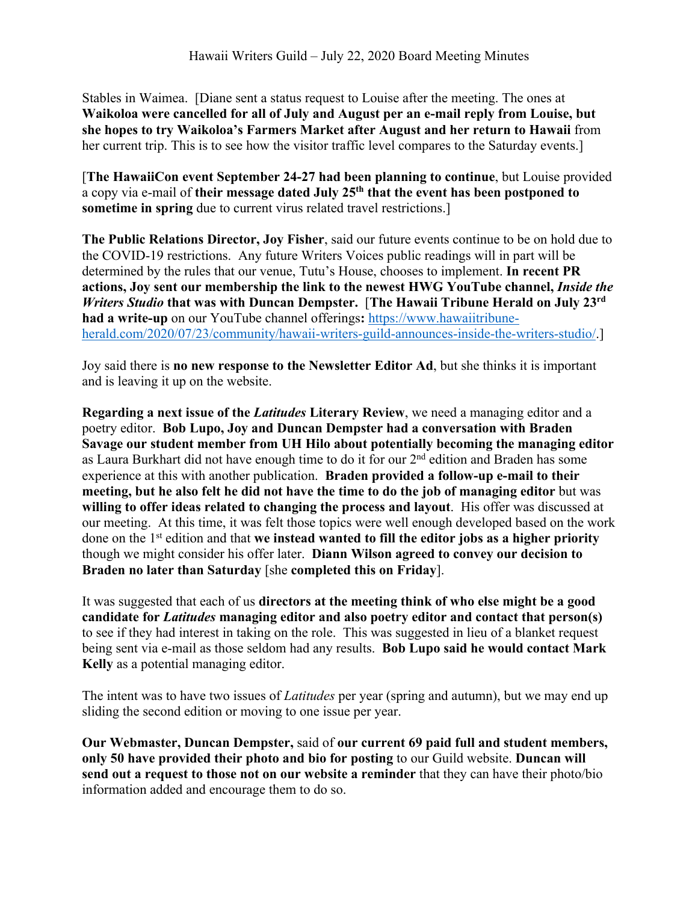Stables in Waimea. [Diane sent a status request to Louise after the meeting. The ones at **Waikoloa were cancelled for all of July and August per an e-mail reply from Louise, but she hopes to try Waikoloa's Farmers Market after August and her return to Hawaii** from her current trip. This is to see how the visitor traffic level compares to the Saturday events.]

[**The HawaiiCon event September 24-27 had been planning to continue**, but Louise provided a copy via e-mail of **their message dated July 25th that the event has been postponed to sometime in spring** due to current virus related travel restrictions.]

**The Public Relations Director, Joy Fisher**, said our future events continue to be on hold due to the COVID-19 restrictions. Any future Writers Voices public readings will in part will be determined by the rules that our venue, Tutu's House, chooses to implement. **In recent PR actions, Joy sent our membership the link to the newest HWG YouTube channel,** *Inside the Writers Studio* **that was with Duncan Dempster.** [**The Hawaii Tribune Herald on July 23rd had a write-up** on our YouTube channel offerings**:** https://www.hawaiitribuneherald.com/2020/07/23/community/hawaii-writers-guild-announces-inside-the-writers-studio/.]

Joy said there is **no new response to the Newsletter Editor Ad**, but she thinks it is important and is leaving it up on the website.

**Regarding a next issue of the** *Latitudes* **Literary Review**, we need a managing editor and a poetry editor. **Bob Lupo, Joy and Duncan Dempster had a conversation with Braden Savage our student member from UH Hilo about potentially becoming the managing editor**  as Laura Burkhart did not have enough time to do it for our 2nd edition and Braden has some experience at this with another publication. **Braden provided a follow-up e-mail to their meeting, but he also felt he did not have the time to do the job of managing editor** but was **willing to offer ideas related to changing the process and layout**. His offer was discussed at our meeting. At this time, it was felt those topics were well enough developed based on the work done on the 1st edition and that **we instead wanted to fill the editor jobs as a higher priority** though we might consider his offer later. **Diann Wilson agreed to convey our decision to Braden no later than Saturday** [she **completed this on Friday**].

It was suggested that each of us **directors at the meeting think of who else might be a good candidate for** *Latitudes* **managing editor and also poetry editor and contact that person(s)** to see if they had interest in taking on the role. This was suggested in lieu of a blanket request being sent via e-mail as those seldom had any results. **Bob Lupo said he would contact Mark Kelly** as a potential managing editor.

The intent was to have two issues of *Latitudes* per year (spring and autumn), but we may end up sliding the second edition or moving to one issue per year.

**Our Webmaster, Duncan Dempster,** said of **our current 69 paid full and student members, only 50 have provided their photo and bio for posting** to our Guild website. **Duncan will send out a request to those not on our website a reminder** that they can have their photo/bio information added and encourage them to do so.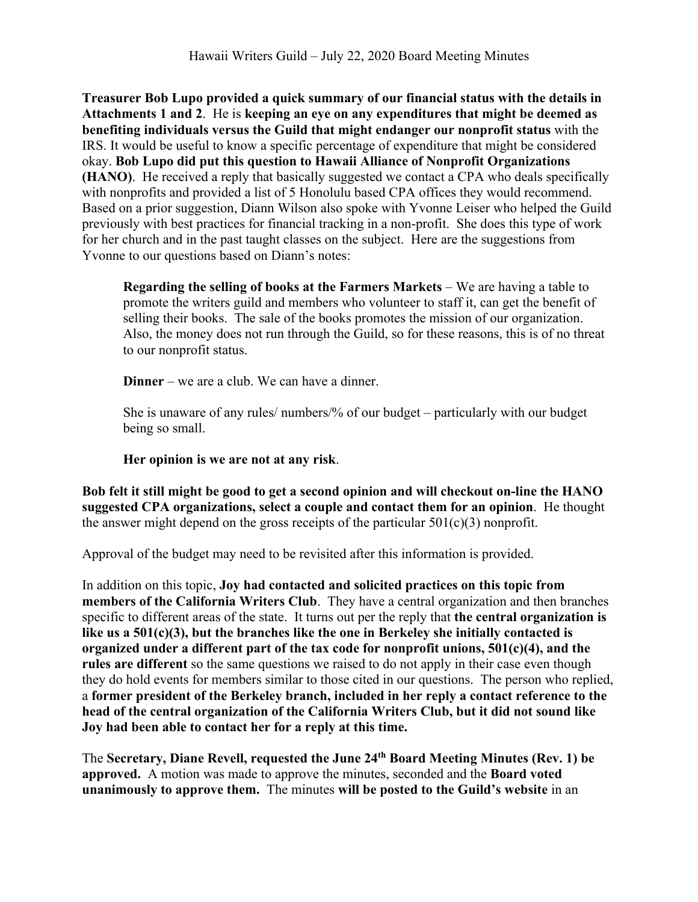**Treasurer Bob Lupo provided a quick summary of our financial status with the details in Attachments 1 and 2**. He is **keeping an eye on any expenditures that might be deemed as benefiting individuals versus the Guild that might endanger our nonprofit status** with the IRS. It would be useful to know a specific percentage of expenditure that might be considered okay. **Bob Lupo did put this question to Hawaii Alliance of Nonprofit Organizations (HANO)**. He received a reply that basically suggested we contact a CPA who deals specifically with nonprofits and provided a list of 5 Honolulu based CPA offices they would recommend. Based on a prior suggestion, Diann Wilson also spoke with Yvonne Leiser who helped the Guild previously with best practices for financial tracking in a non-profit. She does this type of work for her church and in the past taught classes on the subject. Here are the suggestions from Yvonne to our questions based on Diann's notes:

**Regarding the selling of books at the Farmers Markets** – We are having a table to promote the writers guild and members who volunteer to staff it, can get the benefit of selling their books. The sale of the books promotes the mission of our organization. Also, the money does not run through the Guild, so for these reasons, this is of no threat to our nonprofit status.

**Dinner** – we are a club. We can have a dinner.

She is unaware of any rules/ numbers/% of our budget – particularly with our budget being so small.

## **Her opinion is we are not at any risk**.

**Bob felt it still might be good to get a second opinion and will checkout on-line the HANO suggested CPA organizations, select a couple and contact them for an opinion**. He thought the answer might depend on the gross receipts of the particular  $501(c)(3)$  nonprofit.

Approval of the budget may need to be revisited after this information is provided.

In addition on this topic, **Joy had contacted and solicited practices on this topic from members of the California Writers Club**. They have a central organization and then branches specific to different areas of the state. It turns out per the reply that **the central organization is like us a 501(c)(3), but the branches like the one in Berkeley she initially contacted is organized under a different part of the tax code for nonprofit unions, 501(c)(4), and the rules are different** so the same questions we raised to do not apply in their case even though they do hold events for members similar to those cited in our questions. The person who replied, a **former president of the Berkeley branch, included in her reply a contact reference to the head of the central organization of the California Writers Club, but it did not sound like Joy had been able to contact her for a reply at this time.**

The **Secretary, Diane Revell, requested the June 24th Board Meeting Minutes (Rev. 1) be approved.** A motion was made to approve the minutes, seconded and the **Board voted unanimously to approve them.** The minutes **will be posted to the Guild's website** in an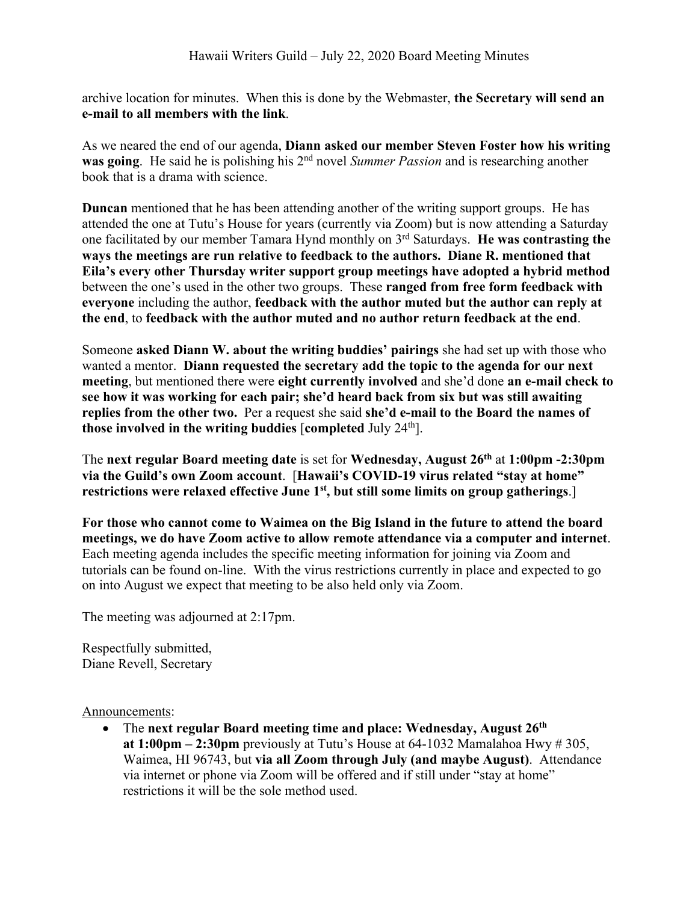archive location for minutes. When this is done by the Webmaster, **the Secretary will send an e-mail to all members with the link**.

As we neared the end of our agenda, **Diann asked our member Steven Foster how his writing was going**. He said he is polishing his 2<sup>nd</sup> novel *Summer Passion* and is researching another book that is a drama with science.

**Duncan** mentioned that he has been attending another of the writing support groups. He has attended the one at Tutu's House for years (currently via Zoom) but is now attending a Saturday one facilitated by our member Tamara Hynd monthly on 3rd Saturdays. **He was contrasting the ways the meetings are run relative to feedback to the authors. Diane R. mentioned that Eila's every other Thursday writer support group meetings have adopted a hybrid method** between the one's used in the other two groups. These **ranged from free form feedback with everyone** including the author, **feedback with the author muted but the author can reply at the end**, to **feedback with the author muted and no author return feedback at the end**.

Someone **asked Diann W. about the writing buddies' pairings** she had set up with those who wanted a mentor. **Diann requested the secretary add the topic to the agenda for our next meeting**, but mentioned there were **eight currently involved** and she'd done **an e-mail check to see how it was working for each pair; she'd heard back from six but was still awaiting replies from the other two.** Per a request she said **she'd e-mail to the Board the names of those involved in the writing buddies** [**completed** July 24th].

The **next regular Board meeting date** is set for **Wednesday, August 26th** at **1:00pm -2:30pm via the Guild's own Zoom account**. [**Hawaii's COVID-19 virus related "stay at home" restrictions were relaxed effective June 1st, but still some limits on group gatherings**.]

**For those who cannot come to Waimea on the Big Island in the future to attend the board meetings, we do have Zoom active to allow remote attendance via a computer and internet**. Each meeting agenda includes the specific meeting information for joining via Zoom and tutorials can be found on-line. With the virus restrictions currently in place and expected to go on into August we expect that meeting to be also held only via Zoom.

The meeting was adjourned at 2:17pm.

Respectfully submitted, Diane Revell, Secretary

Announcements:

• The **next regular Board meeting time and place: Wednesday, August 26th at 1:00pm – 2:30pm** previously at Tutu's House at 64-1032 Mamalahoa Hwy # 305, Waimea, HI 96743, but **via all Zoom through July (and maybe August)**. Attendance via internet or phone via Zoom will be offered and if still under "stay at home" restrictions it will be the sole method used.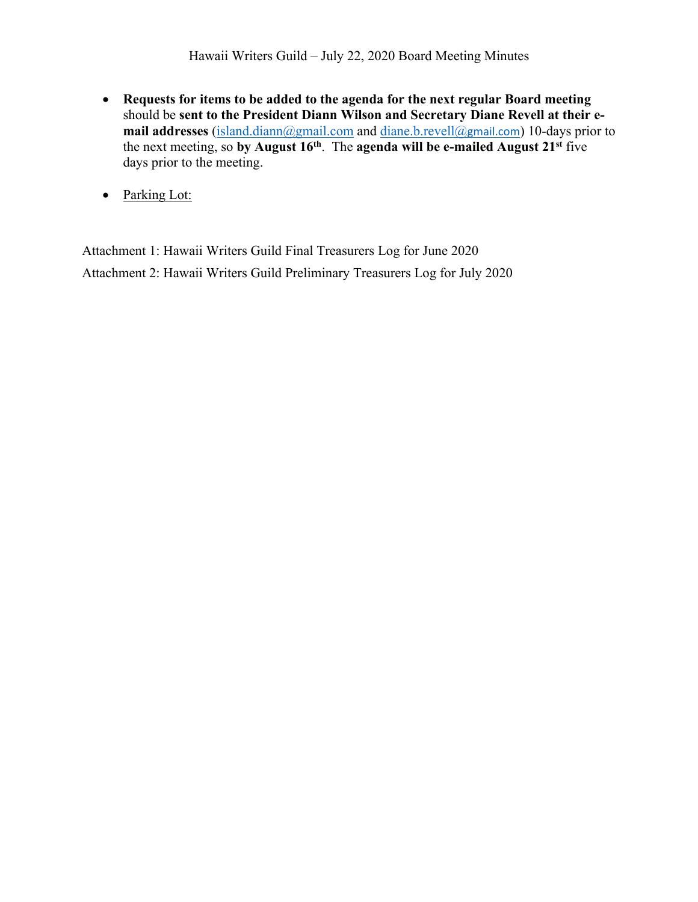- **Requests for items to be added to the agenda for the next regular Board meeting** should be **sent to the President Diann Wilson and Secretary Diane Revell at their email addresses** (island.diann@gmail.com and diane.b.revell@gmail.com) 10-days prior to the next meeting, so **by August 16th**. The **agenda will be e-mailed August 21st** five days prior to the meeting.
- Parking Lot:

Attachment 1: Hawaii Writers Guild Final Treasurers Log for June 2020 Attachment 2: Hawaii Writers Guild Preliminary Treasurers Log for July 2020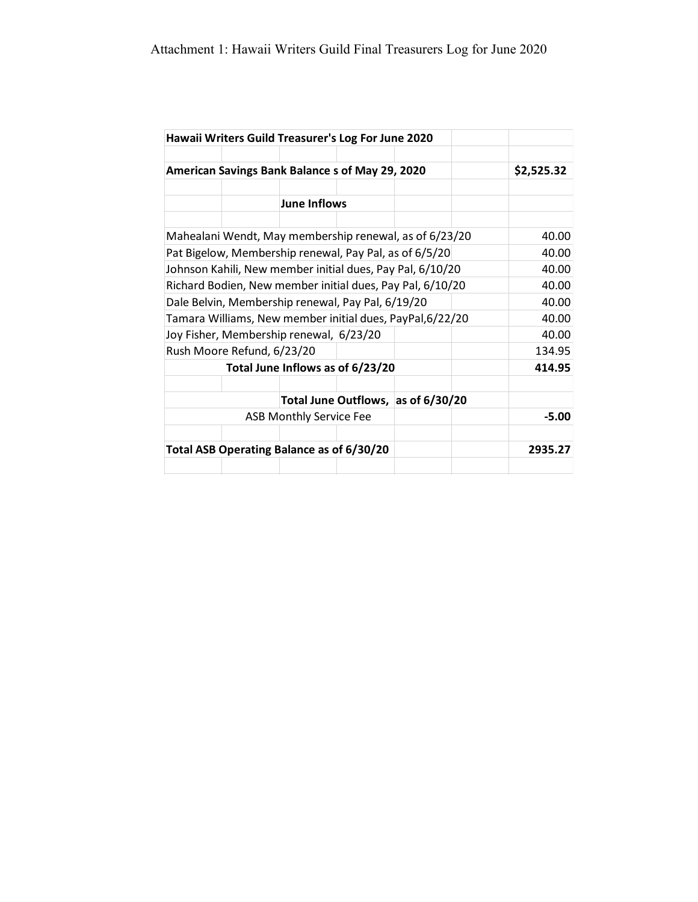|                                                           | Hawaii Writers Guild Treasurer's Log For June 2020 |                                |  |                                    |  |            |
|-----------------------------------------------------------|----------------------------------------------------|--------------------------------|--|------------------------------------|--|------------|
|                                                           |                                                    |                                |  |                                    |  |            |
| American Savings Bank Balance s of May 29, 2020           |                                                    |                                |  |                                    |  | \$2,525.32 |
|                                                           |                                                    |                                |  |                                    |  |            |
|                                                           |                                                    | <b>June Inflows</b>            |  |                                    |  |            |
|                                                           |                                                    |                                |  |                                    |  |            |
| Mahealani Wendt, May membership renewal, as of 6/23/20    |                                                    |                                |  |                                    |  | 40.00      |
| Pat Bigelow, Membership renewal, Pay Pal, as of 6/5/20    |                                                    |                                |  |                                    |  | 40.00      |
| Johnson Kahili, New member initial dues, Pay Pal, 6/10/20 |                                                    |                                |  |                                    |  | 40.00      |
| Richard Bodien, New member initial dues, Pay Pal, 6/10/20 |                                                    |                                |  |                                    |  | 40.00      |
| Dale Belvin, Membership renewal, Pay Pal, 6/19/20         |                                                    |                                |  |                                    |  | 40.00      |
| Tamara Williams, New member initial dues, PayPal, 6/22/20 |                                                    |                                |  |                                    |  | 40.00      |
|                                                           | Joy Fisher, Membership renewal, 6/23/20            |                                |  |                                    |  | 40.00      |
| Rush Moore Refund, 6/23/20                                |                                                    |                                |  |                                    |  | 134.95     |
| Total June Inflows as of 6/23/20                          |                                                    |                                |  |                                    |  | 414.95     |
|                                                           |                                                    |                                |  |                                    |  |            |
|                                                           |                                                    |                                |  | Total June Outflows, as of 6/30/20 |  |            |
|                                                           |                                                    | <b>ASB Monthly Service Fee</b> |  |                                    |  | $-5.00$    |
|                                                           | Total ASB Operating Balance as of 6/30/20          |                                |  |                                    |  | 2935.27    |
|                                                           |                                                    |                                |  |                                    |  |            |